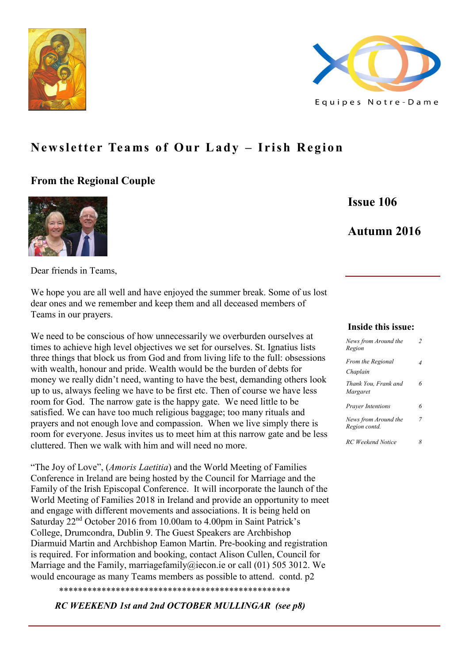



# **Newsletter Teams of Our Lady – Irish Region**

## **From the Regional Couple**



**Issue 106**

# **Autumn 2016**

Dear friends in Teams,

We hope you are all well and have enjoyed the summer break. Some of us lost dear ones and we remember and keep them and all deceased members of Teams in our prayers.

We need to be conscious of how unnecessarily we overburden ourselves at times to achieve high level objectives we set for ourselves. St. Ignatius lists three things that block us from God and from living life to the full: obsessions with wealth, honour and pride. Wealth would be the burden of debts for money we really didn't need, wanting to have the best, demanding others look up to us, always feeling we have to be first etc. Then of course we have less room for God. The narrow gate is the happy gate. We need little to be satisfied. We can have too much religious baggage; too many rituals and prayers and not enough love and compassion. When we live simply there is room for everyone. Jesus invites us to meet him at this narrow gate and be less cluttered. Then we walk with him and will need no more.

"The Joy of Love", (*Amoris Laetitia*) and the World Meeting of Families Conference in Ireland are being hosted by the Council for Marriage and the Family of the Irish Episcopal Conference. It will incorporate the launch of the World Meeting of Families 2018 in Ireland and provide an opportunity to meet and engage with different movements and associations. It is being held on Saturday 22nd October 2016 from 10.00am to 4.00pm in Saint Patrick's College, Drumcondra, Dublin 9. The Guest Speakers are Archbishop Diarmuid Martin and Archbishop Eamon Martin. Pre-booking and registration is required. For information and booking, contact Alison Cullen, Council for Marriage and the Family, marriagefamily ( $\hat{\omega}$ iecon.ie or call (01) 505 3012. We would encourage as many Teams members as possible to attend. contd. p2

\*\*\*\*\*\*\*\*\*\*\*\*\*\*\*\*\*\*\*\*\*\*\*\*\*\*\*\*\*\*\*\*\*\*\*\*\*\*\*\*\*\*\*\*\*\*\*\*\*

*RC WEEKEND 1st and 2nd OCTOBER MULLINGAR (see p8)*

#### **Inside this issue:**

| News from Around the<br>Region        | 2 |
|---------------------------------------|---|
| From the Regional<br>Chaplain         | 4 |
| Thank You, Frank and<br>Margaret      | 6 |
| <b>Prayer Intentions</b>              | 6 |
| News from Around the<br>Region contd. | 7 |
| RC Weekend Notice                     |   |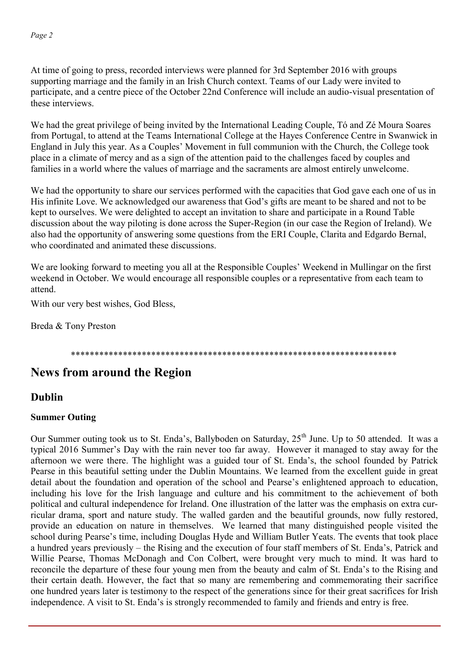At time of going to press, recorded interviews were planned for 3rd September 2016 with groups supporting marriage and the family in an Irish Church context. Teams of our Lady were invited to participate, and a centre piece of the October 22nd Conference will include an audio-visual presentation of these interviews.

We had the great privilege of being invited by the International Leading Couple, Tó and Zé Moura Soares from Portugal, to attend at the Teams International College at the Hayes Conference Centre in Swanwick in England in July this year. As a Couples' Movement in full communion with the Church, the College took place in a climate of mercy and as a sign of the attention paid to the challenges faced by couples and families in a world where the values of marriage and the sacraments are almost entirely unwelcome.

We had the opportunity to share our services performed with the capacities that God gave each one of us in His infinite Love. We acknowledged our awareness that God's gifts are meant to be shared and not to be kept to ourselves. We were delighted to accept an invitation to share and participate in a Round Table discussion about the way piloting is done across the Super-Region (in our case the Region of Ireland). We also had the opportunity of answering some questions from the ERI Couple, Clarita and Edgardo Bernal, who coordinated and animated these discussions.

We are looking forward to meeting you all at the Responsible Couples' Weekend in Mullingar on the first weekend in October. We would encourage all responsible couples or a representative from each team to attend.

With our very best wishes, God Bless,

Breda & Tony Preston

### \*\*\*\*\*\*\*\*\*\*\*\*\*\*\*\*\*\*\*\*\*\*\*\*\*\*\*\*\*\*\*\*\*\*\*\*\*\*\*\*\*\*\*\*\*\*\*\*\*\*\*\*\*\*\*\*\*\*\*\*\*\*\*\*\*\*\*\*\*

# **News from around the Region**

# **Dublin**

### **Summer Outing**

Our Summer outing took us to St. Enda's, Ballyboden on Saturday, 25<sup>th</sup> June. Up to 50 attended. It was a typical 2016 Summer's Day with the rain never too far away. However it managed to stay away for the afternoon we were there. The highlight was a guided tour of St. Enda's, the school founded by Patrick Pearse in this beautiful setting under the Dublin Mountains. We learned from the excellent guide in great detail about the foundation and operation of the school and Pearse's enlightened approach to education, including his love for the Irish language and culture and his commitment to the achievement of both political and cultural independence for Ireland. One illustration of the latter was the emphasis on extra curricular drama, sport and nature study. The walled garden and the beautiful grounds, now fully restored, provide an education on nature in themselves. We learned that many distinguished people visited the school during Pearse's time, including Douglas Hyde and William Butler Yeats. The events that took place a hundred years previously – the Rising and the execution of four staff members of St. Enda's, Patrick and Willie Pearse, Thomas McDonagh and Con Colbert, were brought very much to mind. It was hard to reconcile the departure of these four young men from the beauty and calm of St. Enda's to the Rising and their certain death. However, the fact that so many are remembering and commemorating their sacrifice one hundred years later is testimony to the respect of the generations since for their great sacrifices for Irish independence. A visit to St. Enda's is strongly recommended to family and friends and entry is free.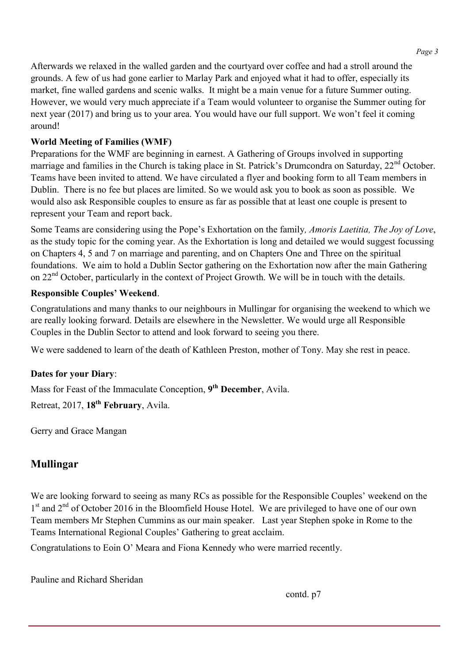Afterwards we relaxed in the walled garden and the courtyard over coffee and had a stroll around the grounds. A few of us had gone earlier to Marlay Park and enjoyed what it had to offer, especially its market, fine walled gardens and scenic walks. It might be a main venue for a future Summer outing. However, we would very much appreciate if a Team would volunteer to organise the Summer outing for next year (2017) and bring us to your area. You would have our full support. We won't feel it coming around!

### **World Meeting of Families (WMF)**

Preparations for the WMF are beginning in earnest. A Gathering of Groups involved in supporting marriage and families in the Church is taking place in St. Patrick's Drumcondra on Saturday, 22<sup>nd</sup> October. Teams have been invited to attend. We have circulated a flyer and booking form to all Team members in Dublin. There is no fee but places are limited. So we would ask you to book as soon as possible. We would also ask Responsible couples to ensure as far as possible that at least one couple is present to represent your Team and report back.

Some Teams are considering using the Pope's Exhortation on the family*, Amoris Laetitia, The Joy of Love*, as the study topic for the coming year. As the Exhortation is long and detailed we would suggest focussing on Chapters 4, 5 and 7 on marriage and parenting, and on Chapters One and Three on the spiritual foundations. We aim to hold a Dublin Sector gathering on the Exhortation now after the main Gathering on 22<sup>nd</sup> October, particularly in the context of Project Growth. We will be in touch with the details.

### **Responsible Couples' Weekend**.

Congratulations and many thanks to our neighbours in Mullingar for organising the weekend to which we are really looking forward. Details are elsewhere in the Newsletter. We would urge all Responsible Couples in the Dublin Sector to attend and look forward to seeing you there.

We were saddened to learn of the death of Kathleen Preston, mother of Tony. May she rest in peace.

## **Dates for your Diary**:

Mass for Feast of the Immaculate Conception, **9 th December**, Avila.

Retreat, 2017, **18th February**, Avila.

Gerry and Grace Mangan

# **Mullingar**

We are looking forward to seeing as many RCs as possible for the Responsible Couples' weekend on the 1<sup>st</sup> and 2<sup>nd</sup> of October 2016 in the Bloomfield House Hotel. We are privileged to have one of our own Team members Mr Stephen Cummins as our main speaker. Last year Stephen spoke in Rome to the Teams International Regional Couples' Gathering to great acclaim.

Congratulations to Eoin O' Meara and Fiona Kennedy who were married recently.

Pauline and Richard Sheridan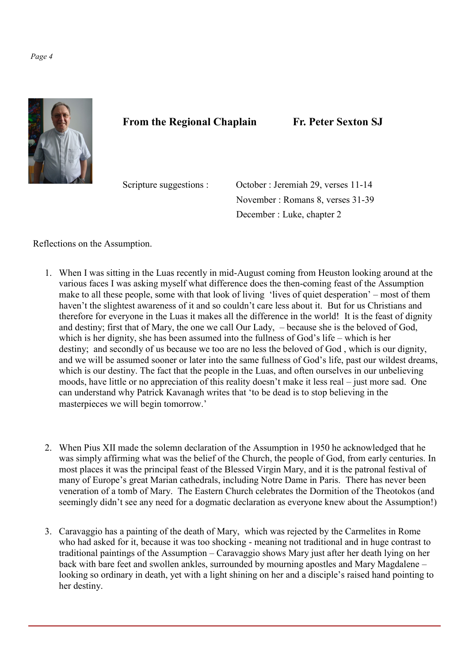#### *Page 4*



# **From the Regional Chaplain Fr. Peter Sexton SJ**

Scripture suggestions : October : Jeremiah 29, verses 11-14 November : Romans 8, verses 31-39 December : Luke, chapter 2

Reflections on the Assumption.

- 1. When I was sitting in the Luas recently in mid-August coming from Heuston looking around at the various faces I was asking myself what difference does the then-coming feast of the Assumption make to all these people, some with that look of living 'lives of quiet desperation' – most of them haven't the slightest awareness of it and so couldn't care less about it. But for us Christians and therefore for everyone in the Luas it makes all the difference in the world! It is the feast of dignity and destiny; first that of Mary, the one we call Our Lady, – because she is the beloved of God, which is her dignity, she has been assumed into the fullness of God's life – which is her destiny; and secondly of us because we too are no less the beloved of God , which is our dignity, and we will be assumed sooner or later into the same fullness of God's life, past our wildest dreams, which is our destiny. The fact that the people in the Luas, and often ourselves in our unbelieving moods, have little or no appreciation of this reality doesn't make it less real – just more sad. One can understand why Patrick Kavanagh writes that 'to be dead is to stop believing in the masterpieces we will begin tomorrow.'
- 2. When Pius XII made the solemn declaration of the Assumption in 1950 he acknowledged that he was simply affirming what was the belief of the Church, the people of God, from early centuries. In most places it was the principal feast of the Blessed Virgin Mary, and it is the patronal festival of many of Europe's great Marian cathedrals, including Notre Dame in Paris. There has never been veneration of a tomb of Mary. The Eastern Church celebrates the Dormition of the Theotokos (and seemingly didn't see any need for a dogmatic declaration as everyone knew about the Assumption!)
- 3. Caravaggio has a painting of the death of Mary, which was rejected by the Carmelites in Rome who had asked for it, because it was too shocking - meaning not traditional and in huge contrast to traditional paintings of the Assumption – Caravaggio shows Mary just after her death lying on her back with bare feet and swollen ankles, surrounded by mourning apostles and Mary Magdalene – looking so ordinary in death, yet with a light shining on her and a disciple's raised hand pointing to her destiny.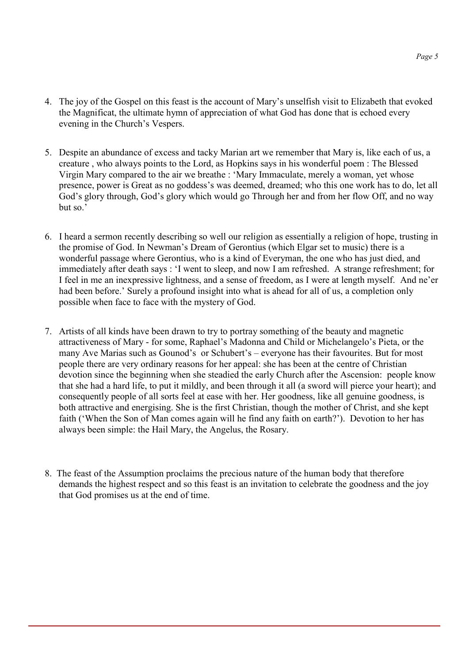- 4. The joy of the Gospel on this feast is the account of Mary's unselfish visit to Elizabeth that evoked the Magnificat, the ultimate hymn of appreciation of what God has done that is echoed every evening in the Church's Vespers.
- 5. Despite an abundance of excess and tacky Marian art we remember that Mary is, like each of us, a creature , who always points to the Lord, as Hopkins says in his wonderful poem : The Blessed Virgin Mary compared to the air we breathe : 'Mary Immaculate, merely a woman, yet whose presence, power is Great as no goddess's was deemed, dreamed; who this one work has to do, let all God's glory through, God's glory which would go Through her and from her flow Off, and no way but so.'
- 6. I heard a sermon recently describing so well our religion as essentially a religion of hope, trusting in the promise of God. In Newman's Dream of Gerontius (which Elgar set to music) there is a wonderful passage where Gerontius, who is a kind of Everyman, the one who has just died, and immediately after death says : 'I went to sleep, and now I am refreshed. A strange refreshment; for I feel in me an inexpressive lightness, and a sense of freedom, as I were at length myself. And ne'er had been before.' Surely a profound insight into what is ahead for all of us, a completion only possible when face to face with the mystery of God.
- 7. Artists of all kinds have been drawn to try to portray something of the beauty and magnetic attractiveness of Mary - for some, Raphael's Madonna and Child or Michelangelo's Pieta, or the many Ave Marias such as Gounod's or Schubert's – everyone has their favourites. But for most people there are very ordinary reasons for her appeal: she has been at the centre of Christian devotion since the beginning when she steadied the early Church after the Ascension: people know that she had a hard life, to put it mildly, and been through it all (a sword will pierce your heart); and consequently people of all sorts feel at ease with her. Her goodness, like all genuine goodness, is both attractive and energising. She is the first Christian, though the mother of Christ, and she kept faith ('When the Son of Man comes again will he find any faith on earth?'). Devotion to her has always been simple: the Hail Mary, the Angelus, the Rosary.
- 8. The feast of the Assumption proclaims the precious nature of the human body that therefore demands the highest respect and so this feast is an invitation to celebrate the goodness and the joy that God promises us at the end of time.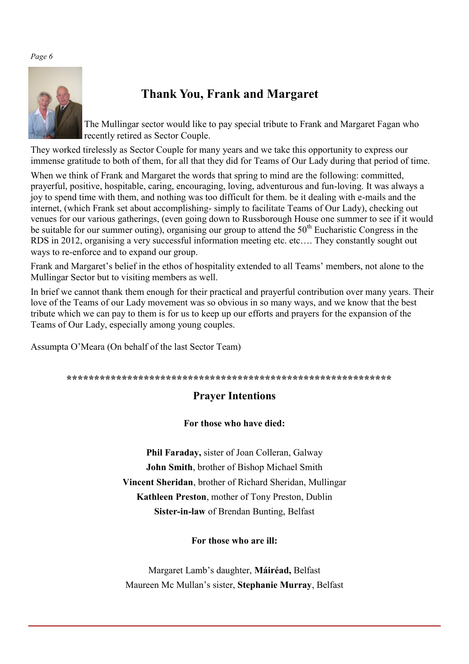#### *Page 6*



# **Thank You, Frank and Margaret**

The Mullingar sector would like to pay special tribute to Frank and Margaret Fagan who recently retired as Sector Couple.

They worked tirelessly as Sector Couple for many years and we take this opportunity to express our immense gratitude to both of them, for all that they did for Teams of Our Lady during that period of time.

When we think of Frank and Margaret the words that spring to mind are the following: committed, prayerful, positive, hospitable, caring, encouraging, loving, adventurous and fun-loving. It was always a joy to spend time with them, and nothing was too difficult for them. be it dealing with e-mails and the internet, (which Frank set about accomplishing- simply to facilitate Teams of Our Lady), checking out venues for our various gatherings, (even going down to Russborough House one summer to see if it would be suitable for our summer outing), organising our group to attend the  $50<sup>th</sup>$  Eucharistic Congress in the RDS in 2012, organising a very successful information meeting etc. etc…. They constantly sought out ways to re-enforce and to expand our group.

Frank and Margaret's belief in the ethos of hospitality extended to all Teams' members, not alone to the Mullingar Sector but to visiting members as well.

In brief we cannot thank them enough for their practical and prayerful contribution over many years. Their love of the Teams of our Lady movement was so obvious in so many ways, and we know that the best tribute which we can pay to them is for us to keep up our efforts and prayers for the expansion of the Teams of Our Lady, especially among young couples.

Assumpta O'Meara (On behalf of the last Sector Team)

#### **\*\*\*\*\*\*\*\*\*\*\*\*\*\*\*\*\*\*\*\*\*\*\*\*\*\*\*\*\*\*\*\*\*\*\*\*\*\*\*\*\*\*\*\*\*\*\*\*\*\*\*\*\*\*\*\*\*\*\***

## **Prayer Intentions**

#### **For those who have died:**

**Phil Faraday,** sister of Joan Colleran, Galway **John Smith**, brother of Bishop Michael Smith **Vincent Sheridan**, brother of Richard Sheridan, Mullingar **Kathleen Preston**, mother of Tony Preston, Dublin **Sister-in-law** of Brendan Bunting, Belfast

**For those who are ill:**

Margaret Lamb's daughter, **Máiréad,** Belfast Maureen Mc Mullan's sister, **Stephanie Murray**, Belfast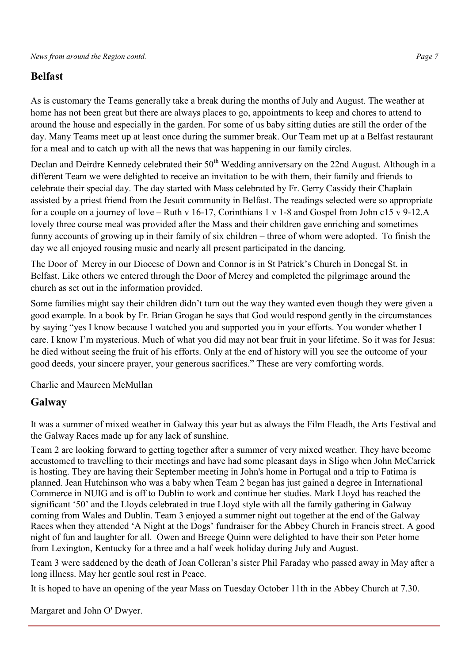# **Belfast**

As is customary the Teams generally take a break during the months of July and August. The weather at home has not been great but there are always places to go, appointments to keep and chores to attend to around the house and especially in the garden. For some of us baby sitting duties are still the order of the day. Many Teams meet up at least once during the summer break. Our Team met up at a Belfast restaurant for a meal and to catch up with all the news that was happening in our family circles.

Declan and Deirdre Kennedy celebrated their 50<sup>th</sup> Wedding anniversary on the 22nd August. Although in a different Team we were delighted to receive an invitation to be with them, their family and friends to celebrate their special day. The day started with Mass celebrated by Fr. Gerry Cassidy their Chaplain assisted by a priest friend from the Jesuit community in Belfast. The readings selected were so appropriate for a couple on a journey of love – Ruth v 16-17, Corinthians 1 v 1-8 and Gospel from John c15 v 9-12.A lovely three course meal was provided after the Mass and their children gave enriching and sometimes funny accounts of growing up in their family of six children – three of whom were adopted. To finish the day we all enjoyed rousing music and nearly all present participated in the dancing.

The Door of Mercy in our Diocese of Down and Connor is in St Patrick's Church in Donegal St. in Belfast. Like others we entered through the Door of Mercy and completed the pilgrimage around the church as set out in the information provided.

Some families might say their children didn't turn out the way they wanted even though they were given a good example. In a book by Fr. Brian Grogan he says that God would respond gently in the circumstances by saying "yes I know because I watched you and supported you in your efforts. You wonder whether I care. I know I'm mysterious. Much of what you did may not bear fruit in your lifetime. So it was for Jesus: he died without seeing the fruit of his efforts. Only at the end of history will you see the outcome of your good deeds, your sincere prayer, your generous sacrifices." These are very comforting words.

Charlie and Maureen McMullan

## **Galway**

It was a summer of mixed weather in Galway this year but as always the Film Fleadh, the Arts Festival and the Galway Races made up for any lack of sunshine.

Team 2 are looking forward to getting together after a summer of very mixed weather. They have become accustomed to travelling to their meetings and have had some pleasant days in Sligo when John McCarrick is hosting. They are having their September meeting in John's home in Portugal and a trip to Fatima is planned. Jean Hutchinson who was a baby when Team 2 began has just gained a degree in International Commerce in NUIG and is off to Dublin to work and continue her studies. Mark Lloyd has reached the significant '50' and the Lloyds celebrated in true Lloyd style with all the family gathering in Galway coming from Wales and Dublin. Team 3 enjoyed a summer night out together at the end of the Galway Races when they attended 'A Night at the Dogs' fundraiser for the Abbey Church in Francis street. A good night of fun and laughter for all. Owen and Breege Quinn were delighted to have their son Peter home from Lexington, Kentucky for a three and a half week holiday during July and August.

Team 3 were saddened by the death of Joan Colleran's sister Phil Faraday who passed away in May after a long illness. May her gentle soul rest in Peace.

It is hoped to have an opening of the year Mass on Tuesday October 11th in the Abbey Church at 7.30.

Margaret and John O' Dwyer.